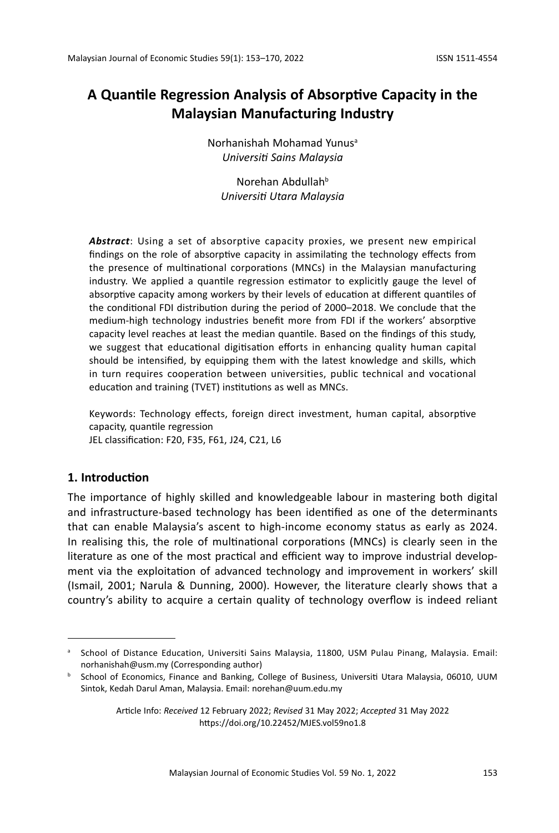# **A Quantile Regression Analysis of Absorptive Capacity in the Malaysian Manufacturing Industry**

Norhanishah Mohamad Yunusa *Universiti Sains Malaysia*

Norehan Abdullahb *Universiti Utara Malaysia*

*Abstract*: Using a set of absorptive capacity proxies, we present new empirical findings on the role of absorptive capacity in assimilating the technology effects from the presence of multinational corporations (MNCs) in the Malaysian manufacturing industry. We applied a quantile regression estimator to explicitly gauge the level of absorptive capacity among workers by their levels of education at different quantiles of the conditional FDI distribution during the period of 2000–2018. We conclude that the medium-high technology industries benefit more from FDI if the workers' absorptive capacity level reaches at least the median quantile. Based on the findings of this study, we suggest that educational digitisation efforts in enhancing quality human capital should be intensified, by equipping them with the latest knowledge and skills, which in turn requires cooperation between universities, public technical and vocational education and training (TVET) institutions as well as MNCs.

Keywords: Technology effects, foreign direct investment, human capital, absorptive capacity, quantile regression JEL classification: F20, F35, F61, J24, C21, L6

# **1. Introduction**

The importance of highly skilled and knowledgeable labour in mastering both digital and infrastructure-based technology has been identified as one of the determinants that can enable Malaysia's ascent to high-income economy status as early as 2024. In realising this, the role of multinational corporations (MNCs) is clearly seen in the literature as one of the most practical and efficient way to improve industrial development via the exploitation of advanced technology and improvement in workers' skill (Ismail, 2001; Narula & Dunning, 2000). However, the literature clearly shows that a country's ability to acquire a certain quality of technology overflow is indeed reliant

a School of Distance Education, Universiti Sains Malaysia, 11800, USM Pulau Pinang, Malaysia. Email: norhanishah@usm.my (Corresponding author)

**b** School of Economics, Finance and Banking, College of Business, Universiti Utara Malaysia, 06010, UUM Sintok, Kedah Darul Aman, Malaysia. Email: norehan@uum.edu.my

Article Info: *Received* 12 February 2022; *Revised* 31 May 2022; *Accepted* 31 May 2022 https://doi.org/10.22452/MJES.vol59no1.8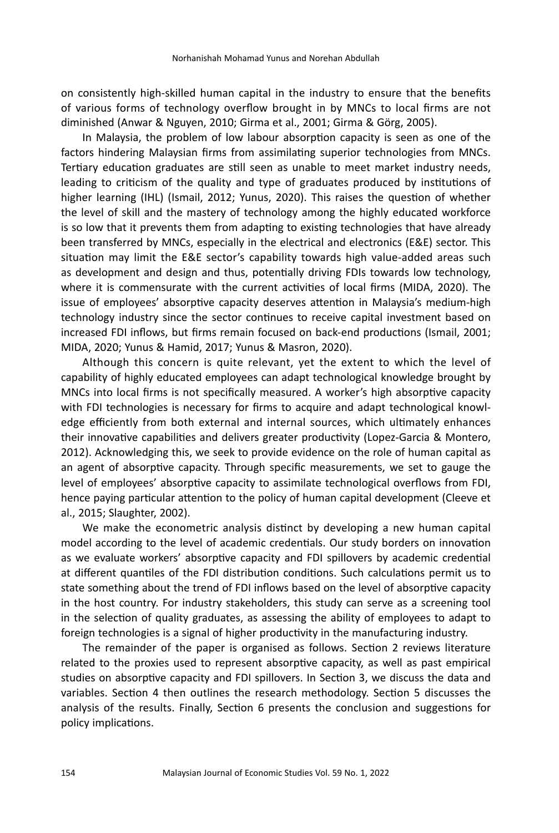on consistently high-skilled human capital in the industry to ensure that the benefits of various forms of technology overflow brought in by MNCs to local firms are not diminished (Anwar & Nguyen, 2010; Girma et al., 2001; Girma & Görg, 2005).

In Malaysia, the problem of low labour absorption capacity is seen as one of the factors hindering Malaysian firms from assimilating superior technologies from MNCs. Tertiary education graduates are still seen as unable to meet market industry needs, leading to criticism of the quality and type of graduates produced by institutions of higher learning (IHL) (Ismail, 2012; Yunus, 2020). This raises the question of whether the level of skill and the mastery of technology among the highly educated workforce is so low that it prevents them from adapting to existing technologies that have already been transferred by MNCs, especially in the electrical and electronics (E&E) sector. This situation may limit the E&E sector's capability towards high value-added areas such as development and design and thus, potentially driving FDIs towards low technology, where it is commensurate with the current activities of local firms (MIDA, 2020). The issue of employees' absorptive capacity deserves attention in Malaysia's medium-high technology industry since the sector continues to receive capital investment based on increased FDI inflows, but firms remain focused on back-end productions (Ismail, 2001; MIDA, 2020; Yunus & Hamid, 2017; Yunus & Masron, 2020).

Although this concern is quite relevant, yet the extent to which the level of capability of highly educated employees can adapt technological knowledge brought by MNCs into local firms is not specifically measured. A worker's high absorptive capacity with FDI technologies is necessary for firms to acquire and adapt technological knowledge efficiently from both external and internal sources, which ultimately enhances their innovative capabilities and delivers greater productivity (Lopez-Garcia & Montero, 2012). Acknowledging this, we seek to provide evidence on the role of human capital as an agent of absorptive capacity. Through specific measurements, we set to gauge the level of employees' absorptive capacity to assimilate technological overflows from FDI, hence paying particular attention to the policy of human capital development (Cleeve et al., 2015; Slaughter, 2002).

We make the econometric analysis distinct by developing a new human capital model according to the level of academic credentials. Our study borders on innovation as we evaluate workers' absorptive capacity and FDI spillovers by academic credential at different quantiles of the FDI distribution conditions. Such calculations permit us to state something about the trend of FDI inflows based on the level of absorptive capacity in the host country. For industry stakeholders, this study can serve as a screening tool in the selection of quality graduates, as assessing the ability of employees to adapt to foreign technologies is a signal of higher productivity in the manufacturing industry.

The remainder of the paper is organised as follows. Section 2 reviews literature related to the proxies used to represent absorptive capacity, as well as past empirical studies on absorptive capacity and FDI spillovers. In Section 3, we discuss the data and variables. Section 4 then outlines the research methodology. Section 5 discusses the analysis of the results. Finally, Section 6 presents the conclusion and suggestions for policy implications.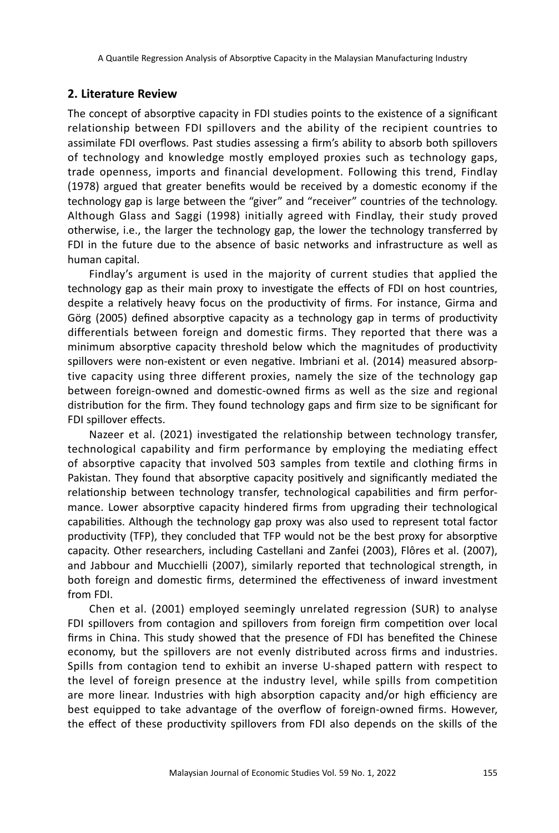# **2. Literature Review**

The concept of absorptive capacity in FDI studies points to the existence of a significant relationship between FDI spillovers and the ability of the recipient countries to assimilate FDI overflows. Past studies assessing a firm's ability to absorb both spillovers of technology and knowledge mostly employed proxies such as technology gaps, trade openness, imports and financial development. Following this trend, Findlay (1978) argued that greater benefits would be received by a domestic economy if the technology gap is large between the "giver" and "receiver" countries of the technology. Although Glass and Saggi (1998) initially agreed with Findlay, their study proved otherwise, i.e., the larger the technology gap, the lower the technology transferred by FDI in the future due to the absence of basic networks and infrastructure as well as human capital.

Findlay's argument is used in the majority of current studies that applied the technology gap as their main proxy to investigate the effects of FDI on host countries, despite a relatively heavy focus on the productivity of firms. For instance, Girma and Görg (2005) defined absorptive capacity as a technology gap in terms of productivity differentials between foreign and domestic firms. They reported that there was a minimum absorptive capacity threshold below which the magnitudes of productivity spillovers were non-existent or even negative. Imbriani et al. (2014) measured absorptive capacity using three different proxies, namely the size of the technology gap between foreign-owned and domestic-owned firms as well as the size and regional distribution for the firm. They found technology gaps and firm size to be significant for FDI spillover effects.

Nazeer et al. (2021) investigated the relationship between technology transfer, technological capability and firm performance by employing the mediating effect of absorptive capacity that involved 503 samples from textile and clothing firms in Pakistan. They found that absorptive capacity positively and significantly mediated the relationship between technology transfer, technological capabilities and firm performance. Lower absorptive capacity hindered firms from upgrading their technological capabilities. Although the technology gap proxy was also used to represent total factor productivity (TFP), they concluded that TFP would not be the best proxy for absorptive capacity. Other researchers, including Castellani and Zanfei (2003), Flôres et al. (2007), and Jabbour and Mucchielli (2007), similarly reported that technological strength, in both foreign and domestic firms, determined the effectiveness of inward investment from FDI.

Chen et al. (2001) employed seemingly unrelated regression (SUR) to analyse FDI spillovers from contagion and spillovers from foreign firm competition over local firms in China. This study showed that the presence of FDI has benefited the Chinese economy, but the spillovers are not evenly distributed across firms and industries. Spills from contagion tend to exhibit an inverse U-shaped pattern with respect to the level of foreign presence at the industry level, while spills from competition are more linear. Industries with high absorption capacity and/or high efficiency are best equipped to take advantage of the overflow of foreign-owned firms. However, the effect of these productivity spillovers from FDI also depends on the skills of the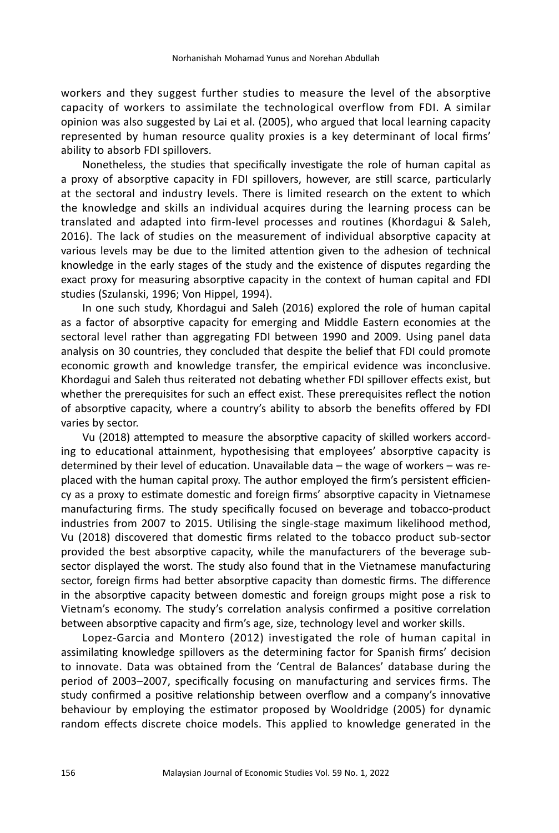workers and they suggest further studies to measure the level of the absorptive capacity of workers to assimilate the technological overflow from FDI. A similar opinion was also suggested by Lai et al. (2005), who argued that local learning capacity represented by human resource quality proxies is a key determinant of local firms' ability to absorb FDI spillovers.

Nonetheless, the studies that specifically investigate the role of human capital as a proxy of absorptive capacity in FDI spillovers, however, are still scarce, particularly at the sectoral and industry levels. There is limited research on the extent to which the knowledge and skills an individual acquires during the learning process can be translated and adapted into firm-level processes and routines (Khordagui & Saleh, 2016). The lack of studies on the measurement of individual absorptive capacity at various levels may be due to the limited attention given to the adhesion of technical knowledge in the early stages of the study and the existence of disputes regarding the exact proxy for measuring absorptive capacity in the context of human capital and FDI studies (Szulanski, 1996; Von Hippel, 1994).

In one such study, Khordagui and Saleh (2016) explored the role of human capital as a factor of absorptive capacity for emerging and Middle Eastern economies at the sectoral level rather than aggregating FDI between 1990 and 2009. Using panel data analysis on 30 countries, they concluded that despite the belief that FDI could promote economic growth and knowledge transfer, the empirical evidence was inconclusive. Khordagui and Saleh thus reiterated not debating whether FDI spillover effects exist, but whether the prerequisites for such an effect exist. These prerequisites reflect the notion of absorptive capacity, where a country's ability to absorb the benefits offered by FDI varies by sector.

Vu (2018) attempted to measure the absorptive capacity of skilled workers according to educational attainment, hypothesising that employees' absorptive capacity is determined by their level of education. Unavailable data – the wage of workers – was replaced with the human capital proxy. The author employed the firm's persistent efficiency as a proxy to estimate domestic and foreign firms' absorptive capacity in Vietnamese manufacturing firms. The study specifically focused on beverage and tobacco-product industries from 2007 to 2015. Utilising the single-stage maximum likelihood method, Vu (2018) discovered that domestic firms related to the tobacco product sub-sector provided the best absorptive capacity, while the manufacturers of the beverage subsector displayed the worst. The study also found that in the Vietnamese manufacturing sector, foreign firms had better absorptive capacity than domestic firms. The difference in the absorptive capacity between domestic and foreign groups might pose a risk to Vietnam's economy. The study's correlation analysis confirmed a positive correlation between absorptive capacity and firm's age, size, technology level and worker skills.

Lopez-Garcia and Montero (2012) investigated the role of human capital in assimilating knowledge spillovers as the determining factor for Spanish firms' decision to innovate. Data was obtained from the 'Central de Balances' database during the period of 2003–2007, specifically focusing on manufacturing and services firms. The study confirmed a positive relationship between overflow and a company's innovative behaviour by employing the estimator proposed by Wooldridge (2005) for dynamic random effects discrete choice models. This applied to knowledge generated in the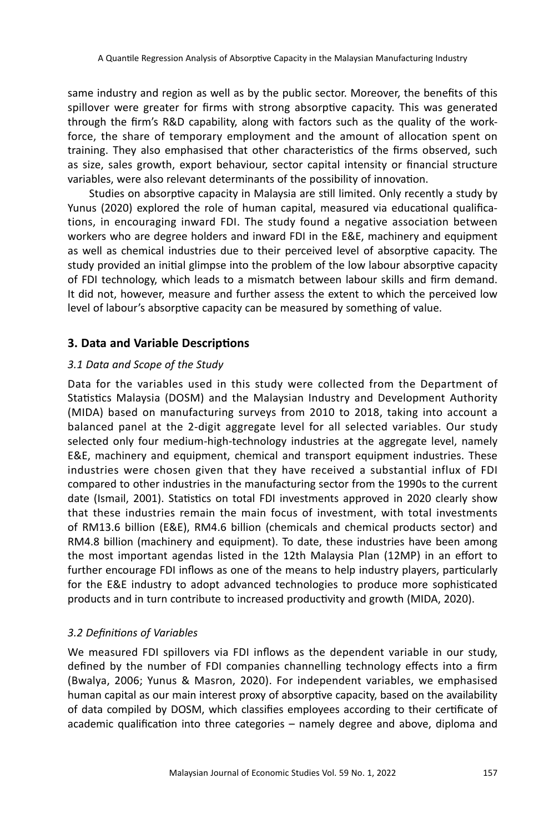same industry and region as well as by the public sector. Moreover, the benefits of this spillover were greater for firms with strong absorptive capacity. This was generated through the firm's R&D capability, along with factors such as the quality of the workforce, the share of temporary employment and the amount of allocation spent on training. They also emphasised that other characteristics of the firms observed, such as size, sales growth, export behaviour, sector capital intensity or financial structure variables, were also relevant determinants of the possibility of innovation.

Studies on absorptive capacity in Malaysia are still limited. Only recently a study by Yunus (2020) explored the role of human capital, measured via educational qualifications, in encouraging inward FDI. The study found a negative association between workers who are degree holders and inward FDI in the E&E, machinery and equipment as well as chemical industries due to their perceived level of absorptive capacity. The study provided an initial glimpse into the problem of the low labour absorptive capacity of FDI technology, which leads to a mismatch between labour skills and firm demand. It did not, however, measure and further assess the extent to which the perceived low level of labour's absorptive capacity can be measured by something of value.

# **3. Data and Variable Descriptions**

# *3.1 Data and Scope of the Study*

Data for the variables used in this study were collected from the Department of Statistics Malaysia (DOSM) and the Malaysian Industry and Development Authority (MIDA) based on manufacturing surveys from 2010 to 2018, taking into account a balanced panel at the 2-digit aggregate level for all selected variables. Our study selected only four medium-high-technology industries at the aggregate level, namely E&E, machinery and equipment, chemical and transport equipment industries. These industries were chosen given that they have received a substantial influx of FDI compared to other industries in the manufacturing sector from the 1990s to the current date (Ismail, 2001). Statistics on total FDI investments approved in 2020 clearly show that these industries remain the main focus of investment, with total investments of RM13.6 billion (E&E), RM4.6 billion (chemicals and chemical products sector) and RM4.8 billion (machinery and equipment). To date, these industries have been among the most important agendas listed in the 12th Malaysia Plan (12MP) in an effort to further encourage FDI inflows as one of the means to help industry players, particularly for the E&E industry to adopt advanced technologies to produce more sophisticated products and in turn contribute to increased productivity and growth (MIDA, 2020).

# *3.2 Definitions of Variables*

We measured FDI spillovers via FDI inflows as the dependent variable in our study, defined by the number of FDI companies channelling technology effects into a firm (Bwalya, 2006; Yunus & Masron, 2020). For independent variables, we emphasised human capital as our main interest proxy of absorptive capacity, based on the availability of data compiled by DOSM, which classifies employees according to their certificate of academic qualification into three categories – namely degree and above, diploma and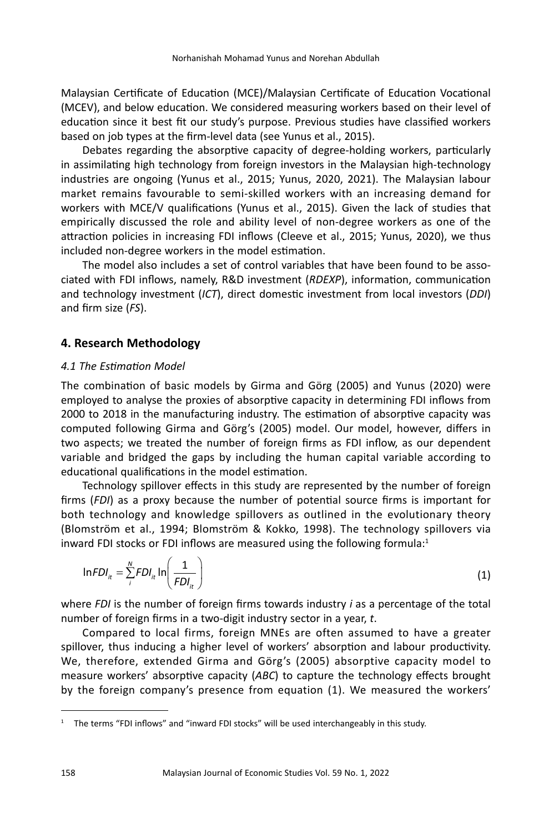Malaysian Certificate of Education (MCE)/Malaysian Certificate of Education Vocational (MCEV), and below education. We considered measuring workers based on their level of education since it best fit our study's purpose. Previous studies have classified workers based on job types at the firm-level data (see Yunus et al., 2015).

Debates regarding the absorptive capacity of degree-holding workers, particularly in assimilating high technology from foreign investors in the Malaysian high-technology industries are ongoing (Yunus et al., 2015; Yunus, 2020, 2021). The Malaysian labour market remains favourable to semi-skilled workers with an increasing demand for workers with MCE/V qualifications (Yunus et al., 2015). Given the lack of studies that empirically discussed the role and ability level of non-degree workers as one of the attraction policies in increasing FDI inflows (Cleeve et al., 2015; Yunus, 2020), we thus included non-degree workers in the model estimation.

The model also includes a set of control variables that have been found to be associated with FDI inflows, namely, R&D investment (*RDEXP*), information, communication and technology investment (*ICT*), direct domestic investment from local investors (*DDI*) and firm size (*FS*).

## **4. Research Methodology**

#### *4.1 The Estimation Model*

The combination of basic models by Girma and Görg (2005) and Yunus (2020) were employed to analyse the proxies of absorptive capacity in determining FDI inflows from 2000 to 2018 in the manufacturing industry. The estimation of absorptive capacity was computed following Girma and Görg's (2005) model. Our model, however, differs in two aspects; we treated the number of foreign firms as FDI inflow, as our dependent variable and bridged the gaps by including the human capital variable according to educational qualifications in the model estimation.

Technology spillover effects in this study are represented by the number of foreign firms (*FDI*) as a proxy because the number of potential source firms is important for both technology and knowledge spillovers as outlined in the evolutionary theory (Blomström et al., 1994; Blomström & Kokko, 1998). The technology spillovers via inward FDI stocks or FDI inflows are measured using the following formula: $1$ 

$$
InFDI_{it} = \sum_{i}^{N} FDI_{it} \ln \left( \frac{1}{FDI_{it}} \right)
$$
 (1)

where *FDI* is the number of foreign firms towards industry *i* as a percentage of the total number of foreign firms in a two-digit industry sector in a year, *t*.

Compared to local firms, foreign MNEs are often assumed to have a greater spillover, thus inducing a higher level of workers' absorption and labour productivity. We, therefore, extended Girma and Görg's (2005) absorptive capacity model to measure workers' absorptive capacity (*ABC*) to capture the technology effects brought by the foreign company's presence from equation (1). We measured the workers'

<sup>1</sup> The terms "FDI inflows" and "inward FDI stocks" will be used interchangeably in this study.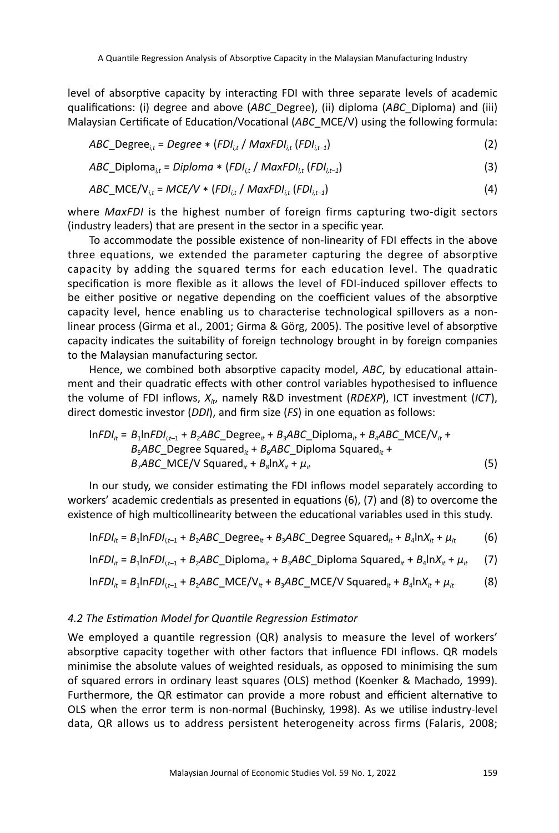level of absorptive capacity by interacting FDI with three separate levels of academic qualifications: (i) degree and above (*ABC*\_Degree), (ii) diploma (*ABC*\_Diploma) and (iii) Malaysian Certificate of Education/Vocational (*ABC*\_MCE/V) using the following formula:

$$
ABC\_Degree_{i,t} = Degree * (FDI_{i,t} / MaxFDI_{i,t} (FDI_{i,t-1})
$$
\n(2)

$$
ABC\_Diploma_{i,t} = Diploma * (FDI_{i,t} / MaxFDI_{i,t} (FDI_{i,t-1})
$$
\n(3)

$$
ABC\_MCE/V_{i,t} = MCE/V * (FDI_{i,t} / MaxFDI_{i,t} (FDI_{i,t-1})
$$
\n(4)

where *MaxFDI* is the highest number of foreign firms capturing two-digit sectors (industry leaders) that are present in the sector in a specific year.

To accommodate the possible existence of non-linearity of FDI effects in the above three equations, we extended the parameter capturing the degree of absorptive capacity by adding the squared terms for each education level. The quadratic specification is more flexible as it allows the level of FDI-induced spillover effects to be either positive or negative depending on the coefficient values of the absorptive capacity level, hence enabling us to characterise technological spillovers as a nonlinear process (Girma et al., 2001; Girma & Görg, 2005). The positive level of absorptive capacity indicates the suitability of foreign technology brought in by foreign companies to the Malaysian manufacturing sector.

Hence, we combined both absorptive capacity model, *ABC*, by educational attainment and their quadratic effects with other control variables hypothesised to influence the volume of FDI inflows,  $X_{it}$ , namely R&D investment (*RDEXP*), ICT investment (*ICT*), direct domestic investor (*DDI*), and firm size (*FS*) in one equation as follows:

$$
InFDI_{it} = B_1InFDI_{i,t-1} + B_2ABC\_Degree_{it} + B_3ABC\_Diploma_{it} + B_4ABC\_MCE/V_{it} + B_5ABC\_Degree\big\{ \text{Squared}_{it} + B_6ABC\_Diploma\big\} \tag{5}
$$
\n
$$
B_7ABC\_MCE/V \text{Squared}_{it} + B_8\ln X_{it} + \mu_{it}
$$

In our study, we consider estimating the FDI inflows model separately according to workers' academic credentials as presented in equations (6), (7) and (8) to overcome the existence of high multicollinearity between the educational variables used in this study.

$$
InFDI_{it} = B_1InFDI_{it-1} + B_2ABC\_Degree_{it} + B_3ABC\_Degree\ Squared_{it} + B_4InX_{it} + \mu_{it}
$$
 (6)

$$
InFDI_{it} = B_1InFDI_{i,t-1} + B_2ABC_Diploma_{it} + B_3ABC_Diploma Squared_{it} + B_4InX_{it} + \mu_{it}
$$
 (7)

$$
InFDI_{it} = B_1InFDI_{i,t-1} + B_2ABC\_MCE/V_{it} + B_3ABC\_MCE/V \text{ Squared}_{it} + B_4InX_{it} + \mu_{it}
$$
 (8)

#### *4.2 The Estimation Model for Quantile Regression Estimator*

We employed a quantile regression (QR) analysis to measure the level of workers' absorptive capacity together with other factors that influence FDI inflows. QR models minimise the absolute values of weighted residuals, as opposed to minimising the sum of squared errors in ordinary least squares (OLS) method (Koenker & Machado, 1999). Furthermore, the QR estimator can provide a more robust and efficient alternative to OLS when the error term is non-normal (Buchinsky, 1998). As we utilise industry-level data, QR allows us to address persistent heterogeneity across firms (Falaris, 2008;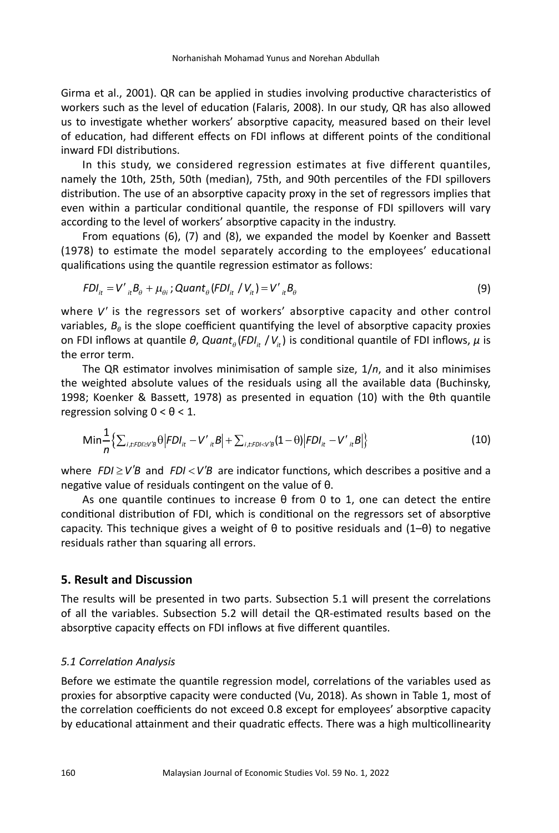Girma et al., 2001). QR can be applied in studies involving productive characteristics of workers such as the level of education (Falaris, 2008). In our study, QR has also allowed us to investigate whether workers' absorptive capacity, measured based on their level of education, had different effects on FDI inflows at different points of the conditional inward FDI distributions.

In this study, we considered regression estimates at five different quantiles, namely the 10th, 25th, 50th (median), 75th, and 90th percentiles of the FDI spillovers distribution. The use of an absorptive capacity proxy in the set of regressors implies that even within a particular conditional quantile, the response of FDI spillovers will vary according to the level of workers' absorptive capacity in the industry.

From equations (6), (7) and (8), we expanded the model by Koenker and Bassett (1978) to estimate the model separately according to the employees' educational qualifications using the quantile regression estimator as follows:

$$
FDI_{it} = V'_{it}B_{\theta} + \mu_{\theta i}; \text{Quant}_{\theta}(FDI_{it} / V_{it}) = V'_{it}B_{\theta}
$$
\n(9)

where V' is the regressors set of workers' absorptive capacity and other control variables,  $B_{\theta}$  is the slope coefficient quantifying the level of absorptive capacity proxies on FDI inflows at quantile θ, Quant<sub>θ</sub> (FDI<sub>it</sub> / V<sub>it</sub>) is conditional quantile of FDI inflows, μ is the error term.

> The QR estimator involves minimisation of sample size, 1/*n*, and it also minimises the weighted absolute values of the residuals using all the available data (Buchinsky, 1998; Koenker & Bassett, 1978) as presented in equation (10) with the θth quantile regression solving  $0 < \theta < 1$ .

$$
\text{Min} \frac{1}{n} \Big\{ \sum_{i,t:FD \geq VB} \theta \Big| FDI_{it} - V'_{it}B \Big| + \sum_{i,t:FD \leq VB} (1-\theta) \Big| FDI_{it} - V'_{it}B \Big| \Big\}
$$
(10)

where  $FDI \geq V'B$  and  $FDI < V'B$  are indicator functions, which describes a positive and a negative value of residuals contingent on the value of θ.

As one quantile continues to increase θ from 0 to 1, one can detect the entire conditional distribution of FDI, which is conditional on the regressors set of absorptive capacity. This technique gives a weight of  $\theta$  to positive residuals and (1– $\theta$ ) to negative residuals rather than squaring all errors.

#### **5. Result and Discussion**

The results will be presented in two parts. Subsection 5.1 will present the correlations of all the variables. Subsection 5.2 will detail the QR-estimated results based on the absorptive capacity effects on FDI inflows at five different quantiles.

### *5.1 Correlation Analysis*

Before we estimate the quantile regression model, correlations of the variables used as proxies for absorptive capacity were conducted (Vu, 2018). As shown in Table 1, most of the correlation coefficients do not exceed 0.8 except for employees' absorptive capacity by educational attainment and their quadratic effects. There was a high multicollinearity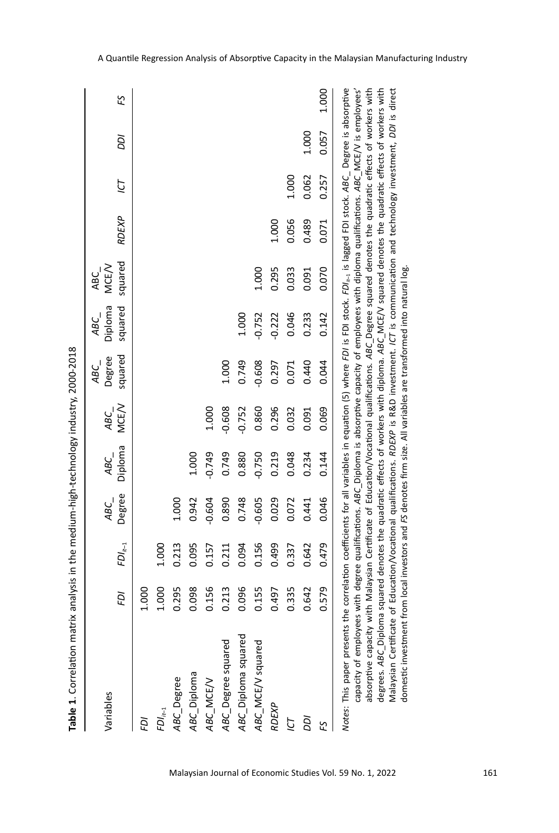| ¢<br>$\frac{1}{2}$<br>くへへへへ   |
|-------------------------------|
|                               |
| ١                             |
| ١                             |
|                               |
|                               |
| am matrix analysis in the mar |
|                               |
| Ī                             |
| ï<br>I                        |

| Variables                                                                                                                                                                                                                                                                                                                                                                                                                                                                                      | ğ     | $FD_{it-1}$ | Degree<br>ABC_ | Diploma<br>ABC | <b>MCE/V</b><br>ABC | squared<br>Degree<br>ABC_ | Diploma<br>squared<br>ABC_ | squared<br>MCE/V<br>ABC_ | RDEXP | ΓÓ    | ρDΙ   | £S    |
|------------------------------------------------------------------------------------------------------------------------------------------------------------------------------------------------------------------------------------------------------------------------------------------------------------------------------------------------------------------------------------------------------------------------------------------------------------------------------------------------|-------|-------------|----------------|----------------|---------------------|---------------------------|----------------------------|--------------------------|-------|-------|-------|-------|
|                                                                                                                                                                                                                                                                                                                                                                                                                                                                                                |       |             |                |                |                     |                           |                            |                          |       |       |       |       |
| Ğ                                                                                                                                                                                                                                                                                                                                                                                                                                                                                              | 1.000 |             |                |                |                     |                           |                            |                          |       |       |       |       |
| $FDl_{t-1}$                                                                                                                                                                                                                                                                                                                                                                                                                                                                                    | 1.000 | 1.000       |                |                |                     |                           |                            |                          |       |       |       |       |
| ABC_Degree                                                                                                                                                                                                                                                                                                                                                                                                                                                                                     | 0.295 | 0.213       | 1.000          |                |                     |                           |                            |                          |       |       |       |       |
| ABC_Diploma                                                                                                                                                                                                                                                                                                                                                                                                                                                                                    | 0.098 | 0.095       | 0.942          | 1.000          |                     |                           |                            |                          |       |       |       |       |
| ABC_MCE/V                                                                                                                                                                                                                                                                                                                                                                                                                                                                                      | 0.156 | 0.157       | $-0.604$       | $-0.749$       | 1.000               |                           |                            |                          |       |       |       |       |
| ABC_Degree squared                                                                                                                                                                                                                                                                                                                                                                                                                                                                             | 0.213 | 0.211       | 0.890          | 0.749          | $-0.608$            | 1.000                     |                            |                          |       |       |       |       |
| ABC_Diploma squared                                                                                                                                                                                                                                                                                                                                                                                                                                                                            | 0.096 | 0.094       | 0.748          | 0.880          | $-0.752$            | 0.749                     | 1.000                      |                          |       |       |       |       |
| ABC_MCE/V squared                                                                                                                                                                                                                                                                                                                                                                                                                                                                              | 0.155 | 0.156       | $-0.605$       | $-0.750$       | 0.860               | $-0.608$                  | $-0.752$                   | 1.000                    |       |       |       |       |
| <b>RDEXP</b>                                                                                                                                                                                                                                                                                                                                                                                                                                                                                   | 0.497 | 0.499       | 0.029          | 0.219          | 0.296               | 0.297                     | $-0.222$                   | 0.295                    | 1.000 |       |       |       |
| Þ                                                                                                                                                                                                                                                                                                                                                                                                                                                                                              | 0.335 | 0.337       | 0.072          | 0.048          | 0.032               | 0.071                     | 0.046                      | 0.033                    | 0.056 | 1.000 |       |       |
| ρD                                                                                                                                                                                                                                                                                                                                                                                                                                                                                             | 0.642 | 0.642       | 0.441          | 0.234          | 0.091               | 0.440                     | 0.233                      | 0.091                    | 0.489 | 0.062 | 1.000 |       |
| 53                                                                                                                                                                                                                                                                                                                                                                                                                                                                                             | 0.579 | 0.479       | 0.046          | 0.144          | 0.069               | 0.044                     | 0.142                      | 0.070                    | 0.071 | 0.257 | 0.057 | 1.000 |
| Notes: This paper presents the correlation coefficients for all variables in equation (5) where FDI is FDI stock. FDI $k$ -1 is lagged FDI stock. ABC_Degree is absorptive<br>absorptive capacity with Malaysian Certificate of Education/Vocational qualifications. ABC_Degree squared denotes the quadratic effects of workers with<br>capacity of employees with degree qualifications. ABC_Diploma is absorptive capacity of employees with diploma qualifications. ABC_MGE/V is employees |       |             |                |                |                     |                           |                            |                          |       |       |       |       |

degrees. *ABC*\_Diploma squared denotes the quadratic effects of workers with diploma. *ABC*\_MCE/V squared denotes the quadratic effects of workers with Malaysian Certificate of Education/Vocational qualifications. *RDEXP* is R&D investment. *ICT* is communication and technology investment, *DDI* is direct

Malaysian Certificate of Education/Vocational qualifications. RDEXP is R&D investment. ICT is communication and technology investment, DDI is direct

degrees. ABC\_Diploma squared denotes the quadratic effects of workers with diploma. ABC\_MCE/V squared denotes the quadratic effects of workers with

domestic investment from local investors and *FS* denotes firm size. All variables are transformed into natural log.

domestic investment from local investors and FS denotes firm size. All variables are transformed into natural log.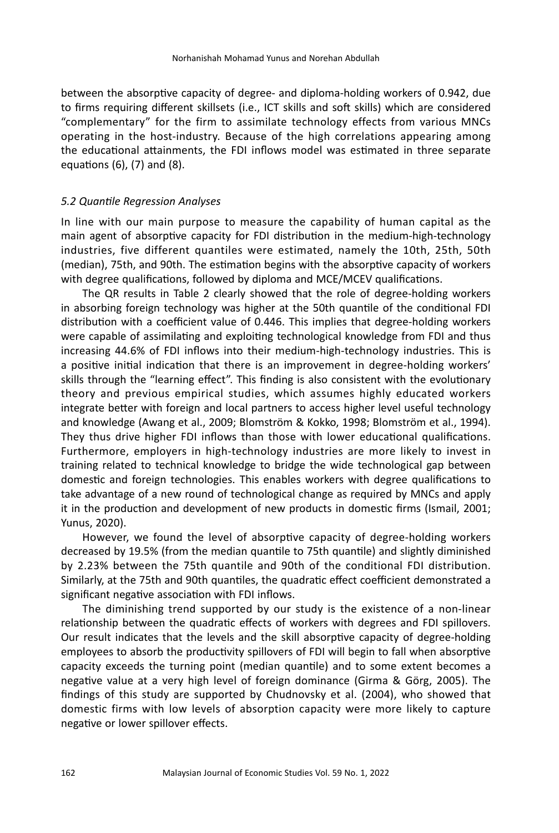between the absorptive capacity of degree- and diploma-holding workers of 0.942, due to firms requiring different skillsets (i.e., ICT skills and soft skills) which are considered "complementary" for the firm to assimilate technology effects from various MNCs operating in the host-industry. Because of the high correlations appearing among the educational attainments, the FDI inflows model was estimated in three separate equations (6), (7) and (8).

#### *5.2 Quantile Regression Analyses*

In line with our main purpose to measure the capability of human capital as the main agent of absorptive capacity for FDI distribution in the medium-high-technology industries, five different quantiles were estimated, namely the 10th, 25th, 50th (median), 75th, and 90th. The estimation begins with the absorptive capacity of workers with degree qualifications, followed by diploma and MCE/MCEV qualifications.

The QR results in Table 2 clearly showed that the role of degree-holding workers in absorbing foreign technology was higher at the 50th quantile of the conditional FDI distribution with a coefficient value of 0.446. This implies that degree-holding workers were capable of assimilating and exploiting technological knowledge from FDI and thus increasing 44.6% of FDI inflows into their medium-high-technology industries. This is a positive initial indication that there is an improvement in degree-holding workers' skills through the "learning effect". This finding is also consistent with the evolutionary theory and previous empirical studies, which assumes highly educated workers integrate better with foreign and local partners to access higher level useful technology and knowledge (Awang et al., 2009; Blomström & Kokko, 1998; Blomström et al., 1994). They thus drive higher FDI inflows than those with lower educational qualifications. Furthermore, employers in high-technology industries are more likely to invest in training related to technical knowledge to bridge the wide technological gap between domestic and foreign technologies. This enables workers with degree qualifications to take advantage of a new round of technological change as required by MNCs and apply it in the production and development of new products in domestic firms (Ismail, 2001; Yunus, 2020).

However, we found the level of absorptive capacity of degree-holding workers decreased by 19.5% (from the median quantile to 75th quantile) and slightly diminished by 2.23% between the 75th quantile and 90th of the conditional FDI distribution. Similarly, at the 75th and 90th quantiles, the quadratic effect coefficient demonstrated a significant negative association with FDI inflows.

The diminishing trend supported by our study is the existence of a non-linear relationship between the quadratic effects of workers with degrees and FDI spillovers. Our result indicates that the levels and the skill absorptive capacity of degree-holding employees to absorb the productivity spillovers of FDI will begin to fall when absorptive capacity exceeds the turning point (median quantile) and to some extent becomes a negative value at a very high level of foreign dominance (Girma & Görg, 2005). The findings of this study are supported by Chudnovsky et al. (2004), who showed that domestic firms with low levels of absorption capacity were more likely to capture negative or lower spillover effects.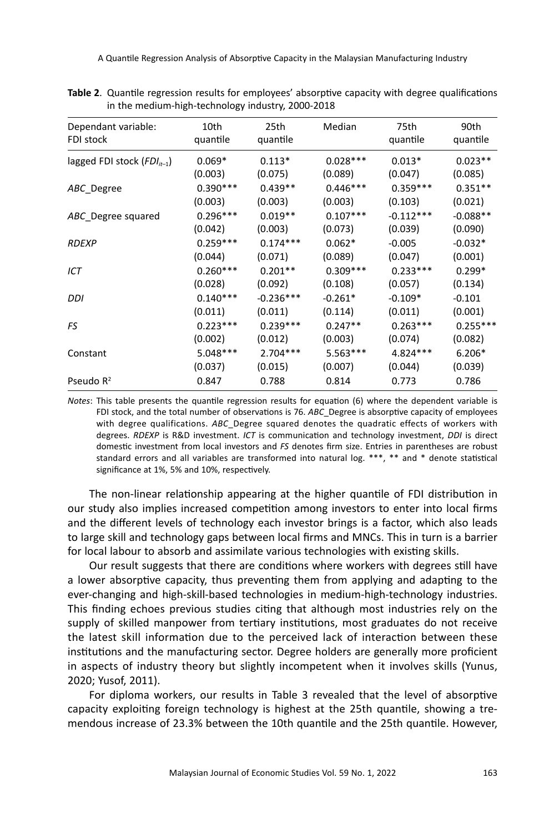A Quantile Regression Analysis of Absorptive Capacity in the Malaysian Manufacturing Industry

| Dependant variable:            | 10th       | 25th        | Median     | 75th        | 90th       |
|--------------------------------|------------|-------------|------------|-------------|------------|
| FDI stock                      | quantile   | quantile    |            | quantile    | quantile   |
| lagged FDI stock $(FDI_{n-1})$ | $0.069*$   | $0.113*$    | $0.028***$ | $0.013*$    | $0.023**$  |
|                                | (0.003)    | (0.075)     | (0.089)    | (0.047)     | (0.085)    |
| ABC Degree                     | $0.390***$ | $0.439**$   | $0.446***$ | $0.359***$  | $0.351**$  |
|                                | (0.003)    | (0.003)     | (0.003)    | (0.103)     | (0.021)    |
| ABC Degree squared             | $0.296***$ | $0.019**$   | $0.107***$ | $-0.112***$ | $-0.088**$ |
|                                | (0.042)    | (0.003)     | (0.073)    | (0.039)     | (0.090)    |
| <b>RDEXP</b>                   | $0.259***$ | $0.174***$  | $0.062*$   | $-0.005$    | $-0.032*$  |
|                                | (0.044)    | (0.071)     | (0.089)    | (0.047)     | (0.001)    |
| ICT                            | $0.260***$ | $0.201**$   | $0.309***$ | $0.233***$  | $0.299*$   |
|                                | (0.028)    | (0.092)     | (0.108)    | (0.057)     | (0.134)    |
| DDI                            | $0.140***$ | $-0.236***$ | $-0.261*$  | $-0.109*$   | $-0.101$   |
|                                | (0.011)    | (0.011)     | (0.114)    | (0.011)     | (0.001)    |
| FS                             | $0.223***$ | $0.239***$  | $0.247**$  | $0.263***$  | $0.255***$ |
|                                | (0.002)    | (0.012)     | (0.003)    | (0.074)     | (0.082)    |
| Constant                       | $5.048***$ | $2.704***$  | $5.563***$ | $4.824***$  | $6.206*$   |
|                                | (0.037)    | (0.015)     | (0.007)    | (0.044)     | (0.039)    |
| Pseudo $R^2$                   | 0.847      | 0.788       | 0.814      | 0.773       | 0.786      |

**Table 2**. Quantile regression results for employees' absorptive capacity with degree qualifications in the medium-high-technology industry, 2000-2018

*Notes*: This table presents the quantile regression results for equation (6) where the dependent variable is FDI stock, and the total number of observations is 76. *ABC*\_Degree is absorptive capacity of employees with degree qualifications. *ABC*\_Degree squared denotes the quadratic effects of workers with degrees. *RDEXP* is R&D investment. *ICT* is communication and technology investment, *DDI* is direct domestic investment from local investors and *FS* denotes firm size. Entries in parentheses are robust standard errors and all variables are transformed into natural log. \*\*\*, \*\* and \* denote statistical significance at 1%, 5% and 10%, respectively.

The non-linear relationship appearing at the higher quantile of FDI distribution in our study also implies increased competition among investors to enter into local firms and the different levels of technology each investor brings is a factor, which also leads to large skill and technology gaps between local firms and MNCs. This in turn is a barrier for local labour to absorb and assimilate various technologies with existing skills.

Our result suggests that there are conditions where workers with degrees still have a lower absorptive capacity, thus preventing them from applying and adapting to the ever-changing and high-skill-based technologies in medium-high-technology industries. This finding echoes previous studies citing that although most industries rely on the supply of skilled manpower from tertiary institutions, most graduates do not receive the latest skill information due to the perceived lack of interaction between these institutions and the manufacturing sector. Degree holders are generally more proficient in aspects of industry theory but slightly incompetent when it involves skills (Yunus, 2020; Yusof, 2011).

For diploma workers, our results in Table 3 revealed that the level of absorptive capacity exploiting foreign technology is highest at the 25th quantile, showing a tremendous increase of 23.3% between the 10th quantile and the 25th quantile. However,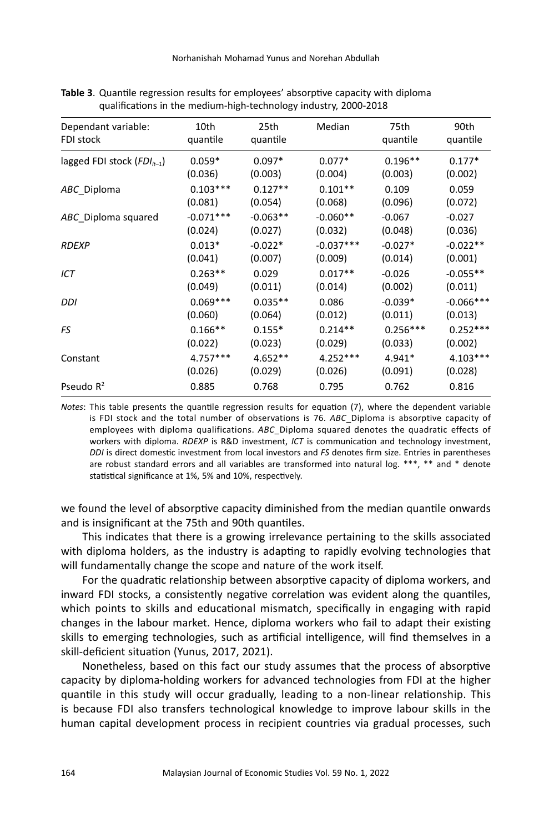| Dependant variable:             | 10th        | 25th       | Median      | 75th       | 90th        |
|---------------------------------|-------------|------------|-------------|------------|-------------|
| FDI stock                       | quantile    | quantile   |             | quantile   | quantile    |
| lagged FDI stock $(FDI_{it-1})$ | $0.059*$    | $0.097*$   | $0.077*$    | $0.196**$  | $0.177*$    |
|                                 | (0.036)     | (0.003)    | (0.004)     | (0.003)    | (0.002)     |
| ABC_Diploma                     | $0.103***$  | $0.127**$  | $0.101**$   | 0.109      | 0.059       |
|                                 | (0.081)     | (0.054)    | (0.068)     | (0.096)    | (0.072)     |
| ABC_Diploma squared             | $-0.071***$ | $-0.063**$ | $-0.060**$  | $-0.067$   | $-0.027$    |
|                                 | (0.024)     | (0.027)    | (0.032)     | (0.048)    | (0.036)     |
| <b>RDEXP</b>                    | $0.013*$    | $-0.022*$  | $-0.037***$ | $-0.027*$  | $-0.022**$  |
|                                 | (0.041)     | (0.007)    | (0.009)     | (0.014)    | (0.001)     |
| ICT                             | $0.263**$   | 0.029      | $0.017**$   | $-0.026$   | $-0.055**$  |
|                                 | (0.049)     | (0.011)    | (0.014)     | (0.002)    | (0.011)     |
| DDI                             | $0.069***$  | $0.035**$  | 0.086       | $-0.039*$  | $-0.066***$ |
|                                 | (0.060)     | (0.064)    | (0.012)     | (0.011)    | (0.013)     |
| FS                              | $0.166**$   | $0.155*$   | $0.214**$   | $0.256***$ | $0.252***$  |
|                                 | (0.022)     | (0.023)    | (0.029)     | (0.033)    | (0.002)     |
| Constant                        | $4.757***$  | $4.652**$  | $4.252***$  | $4.941*$   | $4.103***$  |
|                                 | (0.026)     | (0.029)    | (0.026)     | (0.091)    | (0.028)     |
| Pseudo $R^2$                    | 0.885       | 0.768      | 0.795       | 0.762      | 0.816       |

**Table 3**. Quantile regression results for employees' absorptive capacity with diploma qualifications in the medium-high-technology industry, 2000-2018

*Notes*: This table presents the quantile regression results for equation (7), where the dependent variable is FDI stock and the total number of observations is 76. *ABC*\_Diploma is absorptive capacity of employees with diploma qualifications. *ABC*\_Diploma squared denotes the quadratic effects of workers with diploma. *RDEXP* is R&D investment, *ICT* is communication and technology investment, *DDI* is direct domestic investment from local investors and *FS* denotes firm size. Entries in parentheses are robust standard errors and all variables are transformed into natural log. \*\*\*, \*\* and \* denote statistical significance at 1%, 5% and 10%, respectively.

we found the level of absorptive capacity diminished from the median quantile onwards and is insignificant at the 75th and 90th quantiles.

This indicates that there is a growing irrelevance pertaining to the skills associated with diploma holders, as the industry is adapting to rapidly evolving technologies that will fundamentally change the scope and nature of the work itself.

For the quadratic relationship between absorptive capacity of diploma workers, and inward FDI stocks, a consistently negative correlation was evident along the quantiles, which points to skills and educational mismatch, specifically in engaging with rapid changes in the labour market. Hence, diploma workers who fail to adapt their existing skills to emerging technologies, such as artificial intelligence, will find themselves in a skill-deficient situation (Yunus, 2017, 2021).

Nonetheless, based on this fact our study assumes that the process of absorptive capacity by diploma-holding workers for advanced technologies from FDI at the higher quantile in this study will occur gradually, leading to a non-linear relationship. This is because FDI also transfers technological knowledge to improve labour skills in the human capital development process in recipient countries via gradual processes, such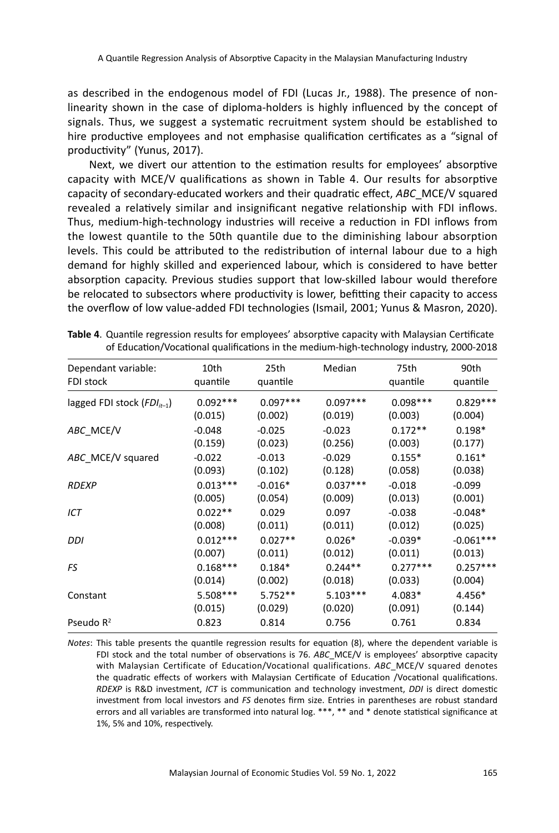as described in the endogenous model of FDI (Lucas Jr., 1988). The presence of nonlinearity shown in the case of diploma-holders is highly influenced by the concept of signals. Thus, we suggest a systematic recruitment system should be established to hire productive employees and not emphasise qualification certificates as a "signal of productivity" (Yunus, 2017).

Next, we divert our attention to the estimation results for employees' absorptive capacity with MCE/V qualifications as shown in Table 4. Our results for absorptive capacity of secondary-educated workers and their quadratic effect, *ABC*\_MCE/V squared revealed a relatively similar and insignificant negative relationship with FDI inflows. Thus, medium-high-technology industries will receive a reduction in FDI inflows from the lowest quantile to the 50th quantile due to the diminishing labour absorption levels. This could be attributed to the redistribution of internal labour due to a high demand for highly skilled and experienced labour, which is considered to have better absorption capacity. Previous studies support that low-skilled labour would therefore be relocated to subsectors where productivity is lower, befitting their capacity to access the overflow of low value-added FDI technologies (Ismail, 2001; Yunus & Masron, 2020).

| Dependant variable:<br>FDI stock | 10th<br>quantile | 25th<br>quantile | Median     | 75th<br>quantile | 90th<br>quantile |
|----------------------------------|------------------|------------------|------------|------------------|------------------|
| lagged FDI stock $(FDI_{n-1})$   | $0.092***$       | $0.097***$       | $0.097***$ | $0.098***$       | $0.829***$       |
|                                  | (0.015)          | (0.002)          | (0.019)    | (0.003)          | (0.004)          |
| ABC MCE/V                        | $-0.048$         | $-0.025$         | $-0.023$   | $0.172**$        | $0.198*$         |
|                                  | (0.159)          | (0.023)          | (0.256)    | (0.003)          | (0.177)          |
| ABC MCE/V squared                | $-0.022$         | $-0.013$         | $-0.029$   | $0.155*$         | $0.161*$         |
|                                  | (0.093)          | (0.102)          | (0.128)    | (0.058)          | (0.038)          |
| <b>RDEXP</b>                     | $0.013***$       | $-0.016*$        | $0.037***$ | $-0.018$         | $-0.099$         |
|                                  | (0.005)          | (0.054)          | (0.009)    | (0.013)          | (0.001)          |
| ICT                              | $0.022**$        | 0.029            | 0.097      | $-0.038$         | $-0.048*$        |
|                                  | (0.008)          | (0.011)          | (0.011)    | (0.012)          | (0.025)          |
| DDI                              | $0.012***$       | $0.027**$        | $0.026*$   | $-0.039*$        | $-0.061***$      |
|                                  | (0.007)          | (0.011)          | (0.012)    | (0.011)          | (0.013)          |
| FS                               | $0.168***$       | $0.184*$         | $0.244**$  | $0.277***$       | $0.257***$       |
|                                  | (0.014)          | (0.002)          | (0.018)    | (0.033)          | (0.004)          |
| Constant                         | 5.508***         | $5.752**$        | $5.103***$ | $4.083*$         | 4.456*           |
|                                  | (0.015)          | (0.029)          | (0.020)    | (0.091)          | (0.144)          |
| Pseudo $R^2$                     | 0.823            | 0.814            | 0.756      | 0.761            | 0.834            |

**Table 4**. Quantile regression results for employees' absorptive capacity with Malaysian Certificate of Education/Vocational qualifications in the medium-high-technology industry, 2000-2018

*Notes*: This table presents the quantile regression results for equation (8), where the dependent variable is FDI stock and the total number of observations is 76. *ABC*\_MCE/V is employees' absorptive capacity with Malaysian Certificate of Education/Vocational qualifications. *ABC*\_MCE/V squared denotes the quadratic effects of workers with Malaysian Certificate of Education /Vocational qualifications. *RDEXP* is R&D investment, *ICT* is communication and technology investment, *DDI* is direct domestic investment from local investors and *FS* denotes firm size. Entries in parentheses are robust standard errors and all variables are transformed into natural log. \*\*\*, \*\* and \* denote statistical significance at 1%, 5% and 10%, respectively.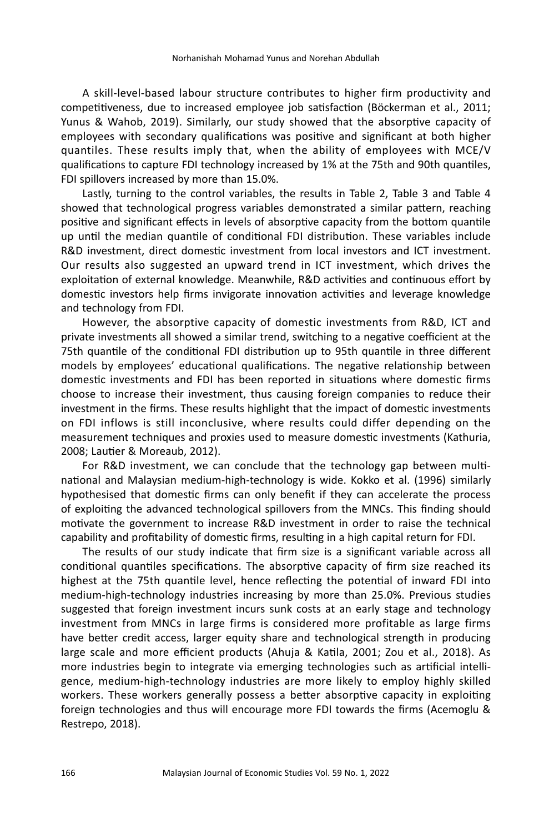A skill-level-based labour structure contributes to higher firm productivity and competitiveness, due to increased employee job satisfaction (Böckerman et al., 2011; Yunus & Wahob, 2019). Similarly, our study showed that the absorptive capacity of employees with secondary qualifications was positive and significant at both higher quantiles. These results imply that, when the ability of employees with MCE/V qualifications to capture FDI technology increased by 1% at the 75th and 90th quantiles, FDI spillovers increased by more than 15.0%.

Lastly, turning to the control variables, the results in Table 2, Table 3 and Table 4 showed that technological progress variables demonstrated a similar pattern, reaching positive and significant effects in levels of absorptive capacity from the bottom quantile up until the median quantile of conditional FDI distribution. These variables include R&D investment, direct domestic investment from local investors and ICT investment. Our results also suggested an upward trend in ICT investment, which drives the exploitation of external knowledge. Meanwhile, R&D activities and continuous effort by domestic investors help firms invigorate innovation activities and leverage knowledge and technology from FDI.

However, the absorptive capacity of domestic investments from R&D, ICT and private investments all showed a similar trend, switching to a negative coefficient at the 75th quantile of the conditional FDI distribution up to 95th quantile in three different models by employees' educational qualifications. The negative relationship between domestic investments and FDI has been reported in situations where domestic firms choose to increase their investment, thus causing foreign companies to reduce their investment in the firms. These results highlight that the impact of domestic investments on FDI inflows is still inconclusive, where results could differ depending on the measurement techniques and proxies used to measure domestic investments (Kathuria, 2008; Lautier & Moreaub, 2012).

For R&D investment, we can conclude that the technology gap between multinational and Malaysian medium-high-technology is wide. Kokko et al. (1996) similarly hypothesised that domestic firms can only benefit if they can accelerate the process of exploiting the advanced technological spillovers from the MNCs. This finding should motivate the government to increase R&D investment in order to raise the technical capability and profitability of domestic firms, resulting in a high capital return for FDI.

The results of our study indicate that firm size is a significant variable across all conditional quantiles specifications. The absorptive capacity of firm size reached its highest at the 75th quantile level, hence reflecting the potential of inward FDI into medium-high-technology industries increasing by more than 25.0%. Previous studies suggested that foreign investment incurs sunk costs at an early stage and technology investment from MNCs in large firms is considered more profitable as large firms have better credit access, larger equity share and technological strength in producing large scale and more efficient products (Ahuja & Katila, 2001; Zou et al., 2018). As more industries begin to integrate via emerging technologies such as artificial intelligence, medium-high-technology industries are more likely to employ highly skilled workers. These workers generally possess a better absorptive capacity in exploiting foreign technologies and thus will encourage more FDI towards the firms (Acemoglu & Restrepo, 2018).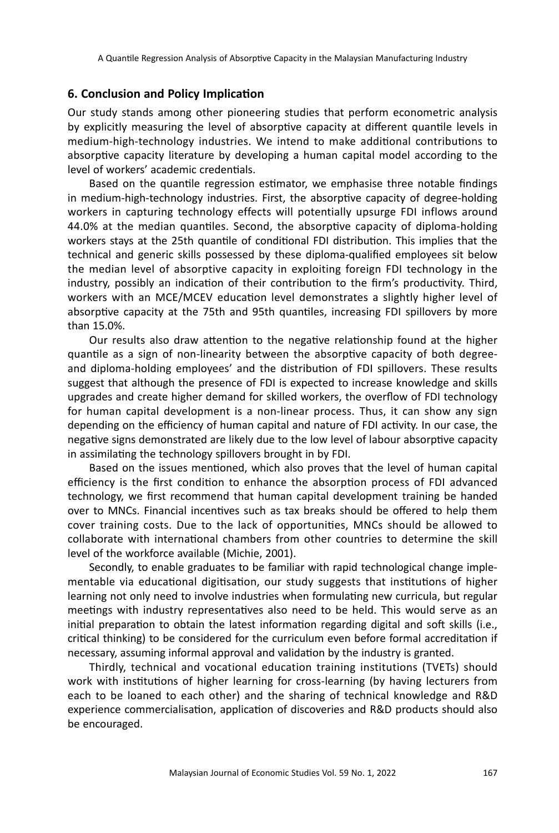## **6. Conclusion and Policy Implication**

Our study stands among other pioneering studies that perform econometric analysis by explicitly measuring the level of absorptive capacity at different quantile levels in medium-high-technology industries. We intend to make additional contributions to absorptive capacity literature by developing a human capital model according to the level of workers' academic credentials.

Based on the quantile regression estimator, we emphasise three notable findings in medium-high-technology industries. First, the absorptive capacity of degree-holding workers in capturing technology effects will potentially upsurge FDI inflows around 44.0% at the median quantiles. Second, the absorptive capacity of diploma-holding workers stays at the 25th quantile of conditional FDI distribution. This implies that the technical and generic skills possessed by these diploma-qualified employees sit below the median level of absorptive capacity in exploiting foreign FDI technology in the industry, possibly an indication of their contribution to the firm's productivity. Third, workers with an MCE/MCEV education level demonstrates a slightly higher level of absorptive capacity at the 75th and 95th quantiles, increasing FDI spillovers by more than 15.0%.

Our results also draw attention to the negative relationship found at the higher quantile as a sign of non-linearity between the absorptive capacity of both degreeand diploma-holding employees' and the distribution of FDI spillovers. These results suggest that although the presence of FDI is expected to increase knowledge and skills upgrades and create higher demand for skilled workers, the overflow of FDI technology for human capital development is a non-linear process. Thus, it can show any sign depending on the efficiency of human capital and nature of FDI activity. In our case, the negative signs demonstrated are likely due to the low level of labour absorptive capacity in assimilating the technology spillovers brought in by FDI.

Based on the issues mentioned, which also proves that the level of human capital efficiency is the first condition to enhance the absorption process of FDI advanced technology, we first recommend that human capital development training be handed over to MNCs. Financial incentives such as tax breaks should be offered to help them cover training costs. Due to the lack of opportunities, MNCs should be allowed to collaborate with international chambers from other countries to determine the skill level of the workforce available (Michie, 2001).

Secondly, to enable graduates to be familiar with rapid technological change implementable via educational digitisation, our study suggests that institutions of higher learning not only need to involve industries when formulating new curricula, but regular meetings with industry representatives also need to be held. This would serve as an initial preparation to obtain the latest information regarding digital and soft skills (i.e., critical thinking) to be considered for the curriculum even before formal accreditation if necessary, assuming informal approval and validation by the industry is granted.

Thirdly, technical and vocational education training institutions (TVETs) should work with institutions of higher learning for cross-learning (by having lecturers from each to be loaned to each other) and the sharing of technical knowledge and R&D experience commercialisation, application of discoveries and R&D products should also be encouraged.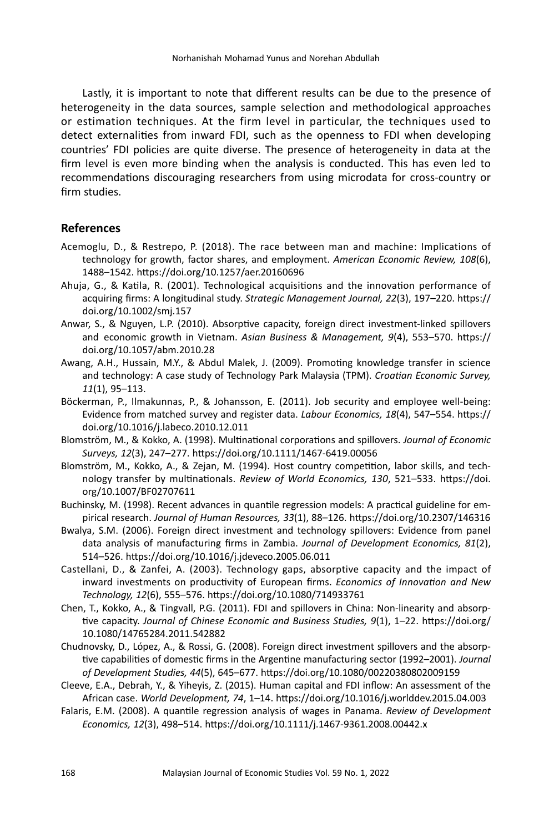Lastly, it is important to note that different results can be due to the presence of heterogeneity in the data sources, sample selection and methodological approaches or estimation techniques. At the firm level in particular, the techniques used to detect externalities from inward FDI, such as the openness to FDI when developing countries' FDI policies are quite diverse. The presence of heterogeneity in data at the firm level is even more binding when the analysis is conducted. This has even led to recommendations discouraging researchers from using microdata for cross-country or firm studies.

## **References**

- Acemoglu, D., & Restrepo, P. (2018). The race between man and machine: Implications of technology for growth, factor shares, and employment. *American Economic Review, 108*(6), 1488–1542. https://doi.org/10.1257/aer.20160696
- Ahuja, G., & Katila, R. (2001). Technological acquisitions and the innovation performance of acquiring firms: A longitudinal study. *Strategic Management Journal, 22*(3), 197–220. https:// doi.org/10.1002/smj.157
- Anwar, S., & Nguyen, L.P. (2010). Absorptive capacity, foreign direct investment-linked spillovers and economic growth in Vietnam. *Asian Business & Management, 9*(4), 553–570. https:// doi.org/10.1057/abm.2010.28
- Awang, A.H., Hussain, M.Y., & Abdul Malek, J. (2009). Promoting knowledge transfer in science and technology: A case study of Technology Park Malaysia (TPM). *Croatian Economic Survey, 11*(1), 95–113.
- Böckerman, P., Ilmakunnas, P., & Johansson, E. (2011). Job security and employee well-being: Evidence from matched survey and register data. *Labour Economics, 18*(4), 547–554. https:// doi.org/10.1016/j.labeco.2010.12.011
- Blomström, M., & Kokko, A. (1998). Multinational corporations and spillovers. *Journal of Economic Surveys, 12*(3), 247–277. https://doi.org/10.1111/1467-6419.00056
- Blomström, M., Kokko, A., & Zejan, M. (1994). Host country competition, labor skills, and technology transfer by multinationals. *Review of World Economics, 130*, 521–533. https://doi. org/10.1007/BF02707611
- Buchinsky, M. (1998). Recent advances in quantile regression models: A practical guideline for empirical research. *Journal of Human Resources, 33*(1), 88–126. https://doi.org/10.2307/146316
- Bwalya, S.M. (2006). Foreign direct investment and technology spillovers: Evidence from panel data analysis of manufacturing firms in Zambia. *Journal of Development Economics, 81*(2), 514–526. https://doi.org/10.1016/j.jdeveco.2005.06.011
- Castellani, D., & Zanfei, A. (2003). Technology gaps, absorptive capacity and the impact of inward investments on productivity of European firms. *Economics of Innovation and New Technology, 12*(6), 555–576. https://doi.org/10.1080/714933761
- Chen, T., Kokko, A., & Tingvall, P.G. (2011). FDI and spillovers in China: Non-linearity and absorptive capacity. *Journal of Chinese Economic and Business Studies, 9*(1), 1–22. https://doi.org/ 10.1080/14765284.2011.542882
- Chudnovsky, D., López, A., & Rossi, G. (2008). Foreign direct investment spillovers and the absorptive capabilities of domestic firms in the Argentine manufacturing sector (1992–2001). *Journal of Development Studies, 44*(5), 645–677. https://doi.org/10.1080/00220380802009159
- Cleeve, E.A., Debrah, Y., & Yiheyis, Z. (2015). Human capital and FDI inflow: An assessment of the African case. *World Development, 74*, 1–14. https://doi.org/10.1016/j.worlddev.2015.04.003
- Falaris, E.M. (2008). A quantile regression analysis of wages in Panama. *Review of Development Economics, 12*(3), 498–514. https://doi.org/10.1111/j.1467-9361.2008.00442.x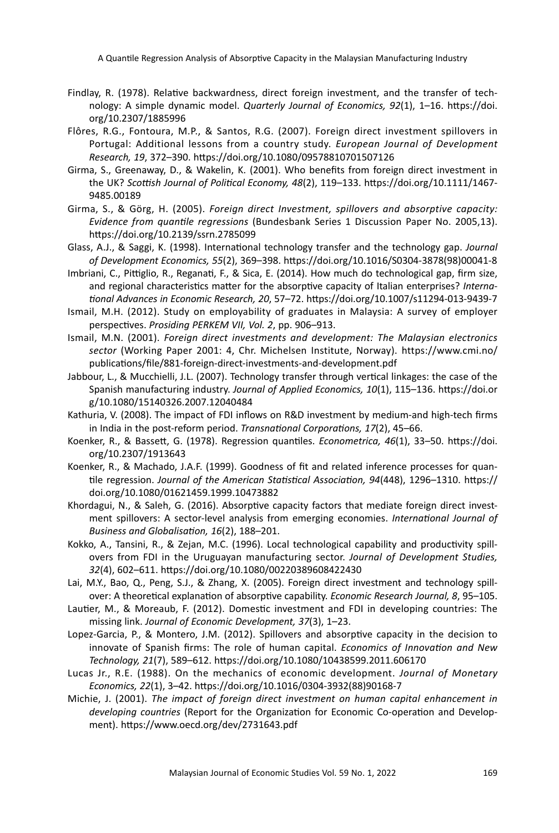A Quantile Regression Analysis of Absorptive Capacity in the Malaysian Manufacturing Industry

- Findlay, R. (1978). Relative backwardness, direct foreign investment, and the transfer of technology: A simple dynamic model. *Quarterly Journal of Economics, 92*(1), 1–16. https://doi. org/10.2307/1885996
- Flôres, R.G., Fontoura, M.P., & Santos, R.G. (2007). Foreign direct investment spillovers in Portugal: Additional lessons from a country study. *European Journal of Development Research, 19*, 372–390. https://doi.org/10.1080/09578810701507126
- Girma, S., Greenaway, D., & Wakelin, K. (2001). Who benefits from foreign direct investment in the UK? *Scottish Journal of Political Economy, 48*(2), 119–133. https://doi.org/10.1111/1467- 9485.00189
- Girma, S., & Görg, H. (2005). *Foreign direct Investment, spillovers and absorptive capacity: Evidence from quantile regressions* (Bundesbank Series 1 Discussion Paper No. 2005,13). https://doi.org/10.2139/ssrn.2785099
- Glass, A.J., & Saggi, K. (1998). International technology transfer and the technology gap. *Journal of Development Economics, 55*(2), 369–398. https://doi.org/10.1016/S0304-3878(98)00041-8
- Imbriani, C., Pittiglio, R., Reganati, F., & Sica, E. (2014). How much do technological gap, firm size, and regional characteristics matter for the absorptive capacity of Italian enterprises? *International Advances in Economic Research, 20*, 57–72. https://doi.org/10.1007/s11294-013-9439-7
- Ismail, M.H. (2012). Study on employability of graduates in Malaysia: A survey of employer perspectives. *Prosiding PERKEM VII, Vol. 2*, pp. 906–913.
- Ismail, M.N. (2001). *Foreign direct investments and development: The Malaysian electronics sector* (Working Paper 2001: 4, Chr. Michelsen Institute, Norway). https://www.cmi.no/ publications/file/881-foreign-direct-investments-and-development.pdf
- Jabbour, L., & Mucchielli, J.L. (2007). Technology transfer through vertical linkages: the case of the Spanish manufacturing industry. *Journal of Applied Economics, 10*(1), 115–136. https://doi.or g/10.1080/15140326.2007.12040484
- Kathuria, V. (2008). The impact of FDI inflows on R&D investment by medium-and high-tech firms in India in the post-reform period. *Transnational Corporations, 17*(2), 45–66.
- Koenker, R., & Bassett, G. (1978). Regression quantiles. *Econometrica, 46*(1), 33–50. https://doi. org/10.2307/1913643
- Koenker, R., & Machado, J.A.F. (1999). Goodness of fit and related inference processes for quantile regression. *Journal of the American Statistical Association, 94*(448), 1296–1310. https:// doi.org/10.1080/01621459.1999.10473882
- Khordagui, N., & Saleh, G. (2016). Absorptive capacity factors that mediate foreign direct investment spillovers: A sector-level analysis from emerging economies. *International Journal of Business and Globalisation, 16*(2), 188–201.
- Kokko, A., Tansini, R., & Zejan, M.C. (1996). Local technological capability and productivity spillovers from FDI in the Uruguayan manufacturing sector. *Journal of Development Studies, 32*(4), 602–611. https://doi.org/10.1080/00220389608422430
- Lai, M.Y., Bao, Q., Peng, S.J., & Zhang, X. (2005). Foreign direct investment and technology spillover: A theoretical explanation of absorptive capability. *Economic Research Journal, 8*, 95–105.
- Lautier, M., & Moreaub, F. (2012). Domestic investment and FDI in developing countries: The missing link. *Journal of Economic Development, 37*(3), 1–23.
- Lopez-Garcia, P., & Montero, J.M. (2012). Spillovers and absorptive capacity in the decision to innovate of Spanish firms: The role of human capital. *Economics of Innovation and New Technology, 21*(7), 589–612. https://doi.org/10.1080/10438599.2011.606170
- Lucas Jr., R.E. (1988). On the mechanics of economic development. *Journal of Monetary Economics, 22*(1), 3–42. https://doi.org/10.1016/0304-3932(88)90168-7
- Michie, J. (2001). *The impact of foreign direct investment on human capital enhancement in developing countries* (Report for the Organization for Economic Co-operation and Development). https://www.oecd.org/dev/2731643.pdf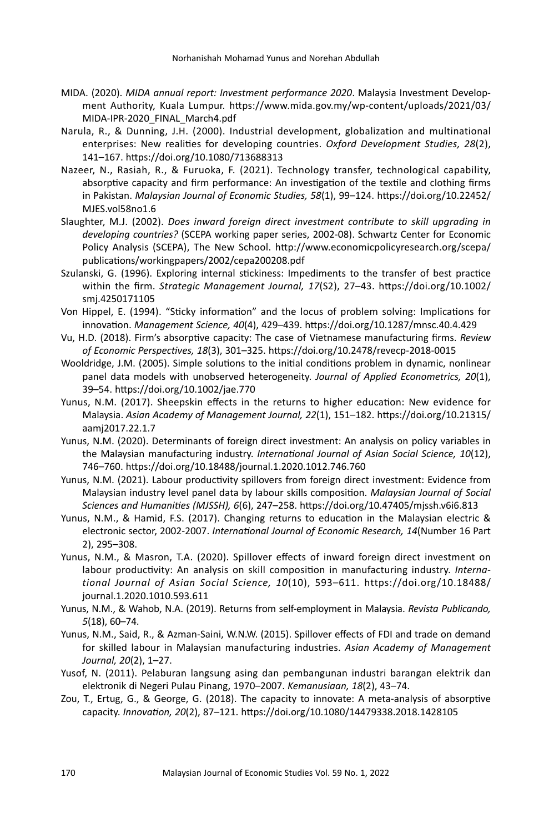- MIDA. (2020). *MIDA annual report: Investment performance 2020*. Malaysia Investment Development Authority, Kuala Lumpur. https://www.mida.gov.my/wp-content/uploads/2021/03/ MIDA-IPR-2020\_FINAL\_March4.pdf
- Narula, R., & Dunning, J.H. (2000). Industrial development, globalization and multinational enterprises: New realities for developing countries. *Oxford Development Studies, 28*(2), 141–167. https://doi.org/10.1080/713688313
- Nazeer, N., Rasiah, R., & Furuoka, F. (2021). Technology transfer, technological capability, absorptive capacity and firm performance: An investigation of the textile and clothing firms in Pakistan. *Malaysian Journal of Economic Studies, 58*(1), 99–124. https://doi.org/10.22452/ MJES.vol58no1.6
- Slaughter, M.J. (2002). *Does inward foreign direct investment contribute to skill upgrading in developing countries?* (SCEPA working paper series, 2002-08). Schwartz Center for Economic Policy Analysis (SCEPA), The New School. http://www.economicpolicyresearch.org/scepa/ publications/workingpapers/2002/cepa200208.pdf
- Szulanski, G. (1996). Exploring internal stickiness: Impediments to the transfer of best practice within the firm. *Strategic Management Journal, 17*(S2), 27–43. https://doi.org/10.1002/ smj.4250171105
- Von Hippel, E. (1994). "Sticky information" and the locus of problem solving: Implications for innovation. *Management Science, 40*(4), 429–439. https://doi.org/10.1287/mnsc.40.4.429
- Vu, H.D. (2018). Firm's absorptive capacity: The case of Vietnamese manufacturing firms. *Review of Economic Perspectives, 18*(3), 301–325. https://doi.org/10.2478/revecp-2018-0015
- Wooldridge, J.M. (2005). Simple solutions to the initial conditions problem in dynamic, nonlinear panel data models with unobserved heterogeneity. *Journal of Applied Econometrics, 20*(1), 39–54. https://doi.org/10.1002/jae.770
- Yunus, N.M. (2017). Sheepskin effects in the returns to higher education: New evidence for Malaysia. *Asian Academy of Management Journal, 22*(1), 151–182. https://doi.org/10.21315/ aamj2017.22.1.7
- Yunus, N.M. (2020). Determinants of foreign direct investment: An analysis on policy variables in the Malaysian manufacturing industry. *International Journal of Asian Social Science, 10*(12), 746–760. https://doi.org/10.18488/journal.1.2020.1012.746.760
- Yunus, N.M. (2021). Labour productivity spillovers from foreign direct investment: Evidence from Malaysian industry level panel data by labour skills composition. *Malaysian Journal of Social Sciences and Humanities (MJSSH), 6*(6), 247–258. https://doi.org/10.47405/mjssh.v6i6.813
- Yunus, N.M., & Hamid, F.S. (2017). Changing returns to education in the Malaysian electric & electronic sector, 2002-2007. *International Journal of Economic Research, 14*(Number 16 Part 2), 295–308.
- Yunus, N.M., & Masron, T.A. (2020). Spillover effects of inward foreign direct investment on labour productivity: An analysis on skill composition in manufacturing industry. *International Journal of Asian Social Science, 10*(10), 593–611. https://doi.org/10.18488/ journal.1.2020.1010.593.611
- Yunus, N.M., & Wahob, N.A. (2019). Returns from self-employment in Malaysia. *Revista Publicando, 5*(18), 60–74.
- Yunus, N.M., Said, R., & Azman-Saini, W.N.W. (2015). Spillover effects of FDI and trade on demand for skilled labour in Malaysian manufacturing industries. *Asian Academy of Management Journal, 20*(2), 1–27.
- Yusof, N. (2011). Pelaburan langsung asing dan pembangunan industri barangan elektrik dan elektronik di Negeri Pulau Pinang, 1970–2007. *Kemanusiaan, 18*(2), 43–74.
- Zou, T., Ertug, G., & George, G. (2018). The capacity to innovate: A meta-analysis of absorptive capacity. *Innovation, 20*(2), 87–121. https://doi.org/10.1080/14479338.2018.1428105